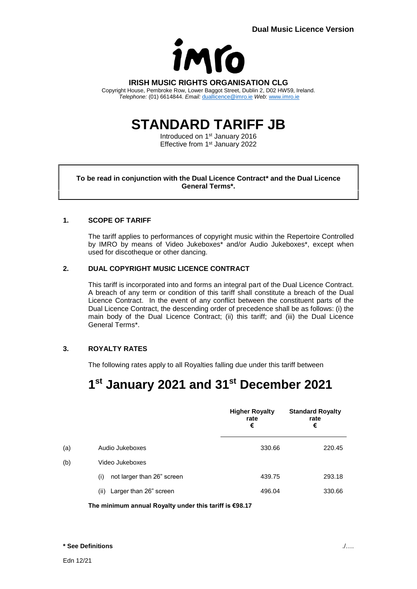

### **IRISH MUSIC RIGHTS ORGANISATION CLG**

Copyright House, Pembroke Row, Lower Baggot Street, Dublin 2, D02 HW59, Ireland. *Telephone:* (01) 6614844. *Email:* [duallicence@imro.ie](mailto:duallicence@imro.ie) *Web*: [www.imro.ie](http://www.imro.ie/)

# **STANDARD TARIFF JB**

Introduced on 1<sup>st</sup> January 2016 Effective from 1<sup>st</sup> January 2022

### **To be read in conjunction with the Dual Licence Contract\* and the Dual Licence General Terms\*.**

### **1. SCOPE OF TARIFF**

The tariff applies to performances of copyright music within the Repertoire Controlled by IMRO by means of Video Jukeboxes\* and/or Audio Jukeboxes\*, except when used for discotheque or other dancing.

### **2. DUAL COPYRIGHT MUSIC LICENCE CONTRACT**

This tariff is incorporated into and forms an integral part of the Dual Licence Contract. A breach of any term or condition of this tariff shall constitute a breach of the Dual Licence Contract. In the event of any conflict between the constituent parts of the Dual Licence Contract, the descending order of precedence shall be as follows: (i) the main body of the Dual Licence Contract; (ii) this tariff; and (iii) the Dual Licence General Terms\*.

## **3. ROYALTY RATES**

The following rates apply to all Royalties falling due under this tariff between

# **1 st January 2021 and 31st December 2021**

|     |                                   | <b>Higher Royalty</b><br>rate<br>€ | <b>Standard Royalty</b><br>rate<br>€ |
|-----|-----------------------------------|------------------------------------|--------------------------------------|
| (a) | Audio Jukeboxes                   | 330.66                             | 220.45                               |
| (b) | Video Jukeboxes                   |                                    |                                      |
|     | not larger than 26" screen<br>(i) | 439.75                             | 293.18                               |
|     | Larger than 26" screen<br>(ii)    | 496.04                             | 330.66                               |

**The minimum annual Royalty under this tariff is €98.17**